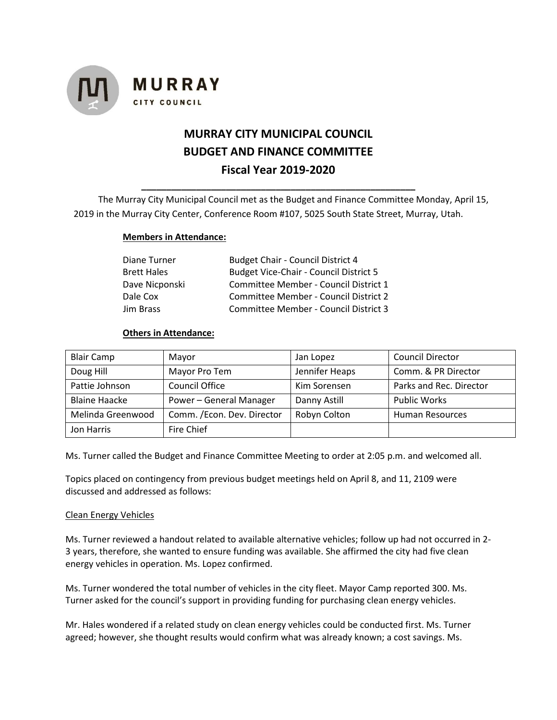

# **MURRAY CITY MUNICIPAL COUNCIL BUDGET AND FINANCE COMMITTEE Fiscal Year 2019-2020**

The Murray City Municipal Council met as the Budget and Finance Committee Monday, April 15, 2019 in the Murray City Center, Conference Room #107, 5025 South State Street, Murray, Utah.

**\_\_\_\_\_\_\_\_\_\_\_\_\_\_\_\_\_\_\_\_\_\_\_\_\_\_\_\_\_\_\_\_\_\_\_\_\_\_\_\_\_\_\_\_\_\_\_\_\_\_\_\_\_\_\_**

#### **Members in Attendance:**

| Diane Turner       | <b>Budget Chair - Council District 4</b>      |  |  |
|--------------------|-----------------------------------------------|--|--|
| <b>Brett Hales</b> | <b>Budget Vice-Chair - Council District 5</b> |  |  |
| Dave Nicponski     | Committee Member - Council District 1         |  |  |
| Dale Cox           | Committee Member - Council District 2         |  |  |
| Jim Brass          | Committee Member - Council District 3         |  |  |

### **Others in Attendance:**

| <b>Blair Camp</b>    | Mayor                       | Jan Lopez      | <b>Council Director</b> |
|----------------------|-----------------------------|----------------|-------------------------|
| Doug Hill            | Mayor Pro Tem               | Jennifer Heaps | Comm. & PR Director     |
| Pattie Johnson       | <b>Council Office</b>       | Kim Sorensen   | Parks and Rec. Director |
| <b>Blaine Haacke</b> | Power - General Manager     |                | <b>Public Works</b>     |
| Melinda Greenwood    | Comm. / Econ. Dev. Director | Robyn Colton   | <b>Human Resources</b>  |
| Jon Harris           | Fire Chief                  |                |                         |

Ms. Turner called the Budget and Finance Committee Meeting to order at 2:05 p.m. and welcomed all.

Topics placed on contingency from previous budget meetings held on April 8, and 11, 2109 were discussed and addressed as follows:

#### Clean Energy Vehicles

Ms. Turner reviewed a handout related to available alternative vehicles; follow up had not occurred in 2- 3 years, therefore, she wanted to ensure funding was available. She affirmed the city had five clean energy vehicles in operation. Ms. Lopez confirmed.

Ms. Turner wondered the total number of vehicles in the city fleet. Mayor Camp reported 300. Ms. Turner asked for the council's support in providing funding for purchasing clean energy vehicles.

Mr. Hales wondered if a related study on clean energy vehicles could be conducted first. Ms. Turner agreed; however, she thought results would confirm what was already known; a cost savings. Ms.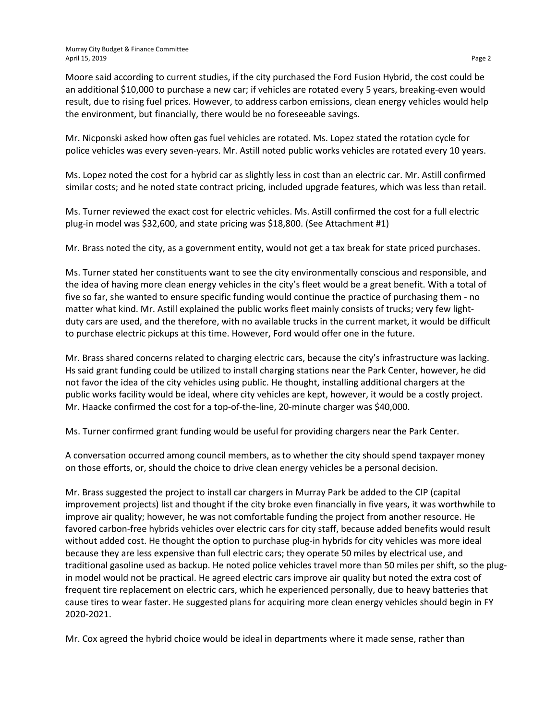Moore said according to current studies, if the city purchased the Ford Fusion Hybrid, the cost could be an additional \$10,000 to purchase a new car; if vehicles are rotated every 5 years, breaking-even would result, due to rising fuel prices. However, to address carbon emissions, clean energy vehicles would help the environment, but financially, there would be no foreseeable savings.

Mr. Nicponski asked how often gas fuel vehicles are rotated. Ms. Lopez stated the rotation cycle for police vehicles was every seven-years. Mr. Astill noted public works vehicles are rotated every 10 years.

Ms. Lopez noted the cost for a hybrid car as slightly less in cost than an electric car. Mr. Astill confirmed similar costs; and he noted state contract pricing, included upgrade features, which was less than retail.

Ms. Turner reviewed the exact cost for electric vehicles. Ms. Astill confirmed the cost for a full electric plug-in model was \$32,600, and state pricing was \$18,800. (See Attachment #1)

Mr. Brass noted the city, as a government entity, would not get a tax break for state priced purchases.

Ms. Turner stated her constituents want to see the city environmentally conscious and responsible, and the idea of having more clean energy vehicles in the city's fleet would be a great benefit. With a total of five so far, she wanted to ensure specific funding would continue the practice of purchasing them - no matter what kind. Mr. Astill explained the public works fleet mainly consists of trucks; very few lightduty cars are used, and the therefore, with no available trucks in the current market, it would be difficult to purchase electric pickups at this time. However, Ford would offer one in the future.

Mr. Brass shared concerns related to charging electric cars, because the city's infrastructure was lacking. Hs said grant funding could be utilized to install charging stations near the Park Center, however, he did not favor the idea of the city vehicles using public. He thought, installing additional chargers at the public works facility would be ideal, where city vehicles are kept, however, it would be a costly project. Mr. Haacke confirmed the cost for a top-of-the-line, 20-minute charger was \$40,000.

Ms. Turner confirmed grant funding would be useful for providing chargers near the Park Center.

A conversation occurred among council members, as to whether the city should spend taxpayer money on those efforts, or, should the choice to drive clean energy vehicles be a personal decision.

Mr. Brass suggested the project to install car chargers in Murray Park be added to the CIP (capital improvement projects) list and thought if the city broke even financially in five years, it was worthwhile to improve air quality; however, he was not comfortable funding the project from another resource. He favored carbon-free hybrids vehicles over electric cars for city staff, because added benefits would result without added cost. He thought the option to purchase plug-in hybrids for city vehicles was more ideal because they are less expensive than full electric cars; they operate 50 miles by electrical use, and traditional gasoline used as backup. He noted police vehicles travel more than 50 miles per shift, so the plugin model would not be practical. He agreed electric cars improve air quality but noted the extra cost of frequent tire replacement on electric cars, which he experienced personally, due to heavy batteries that cause tires to wear faster. He suggested plans for acquiring more clean energy vehicles should begin in FY 2020-2021.

Mr. Cox agreed the hybrid choice would be ideal in departments where it made sense, rather than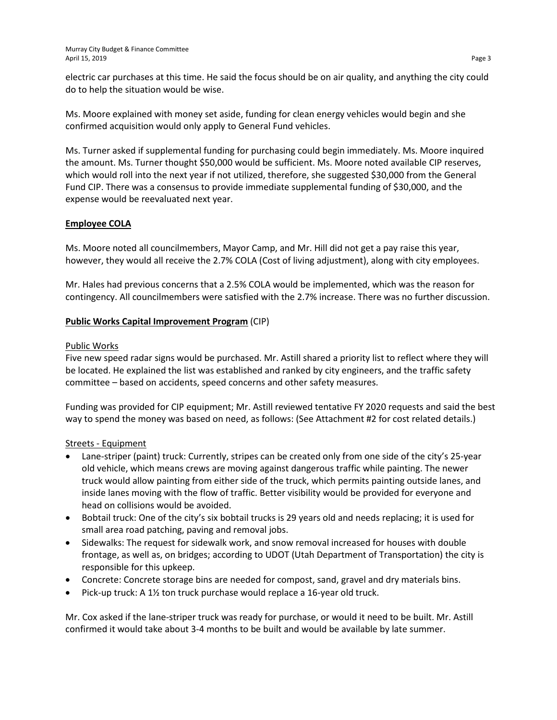electric car purchases at this time. He said the focus should be on air quality, and anything the city could do to help the situation would be wise.

Ms. Moore explained with money set aside, funding for clean energy vehicles would begin and she confirmed acquisition would only apply to General Fund vehicles.

Ms. Turner asked if supplemental funding for purchasing could begin immediately. Ms. Moore inquired the amount. Ms. Turner thought \$50,000 would be sufficient. Ms. Moore noted available CIP reserves, which would roll into the next year if not utilized, therefore, she suggested \$30,000 from the General Fund CIP. There was a consensus to provide immediate supplemental funding of \$30,000, and the expense would be reevaluated next year.

## **Employee COLA**

Ms. Moore noted all councilmembers, Mayor Camp, and Mr. Hill did not get a pay raise this year, however, they would all receive the 2.7% COLA (Cost of living adjustment), along with city employees.

Mr. Hales had previous concerns that a 2.5% COLA would be implemented, which was the reason for contingency. All councilmembers were satisfied with the 2.7% increase. There was no further discussion.

## **Public Works Capital Improvement Program** (CIP)

#### Public Works

Five new speed radar signs would be purchased. Mr. Astill shared a priority list to reflect where they will be located. He explained the list was established and ranked by city engineers, and the traffic safety committee – based on accidents, speed concerns and other safety measures.

Funding was provided for CIP equipment; Mr. Astill reviewed tentative FY 2020 requests and said the best way to spend the money was based on need, as follows: (See Attachment #2 for cost related details.)

#### Streets - Equipment

- Lane-striper (paint) truck: Currently, stripes can be created only from one side of the city's 25-year old vehicle, which means crews are moving against dangerous traffic while painting. The newer truck would allow painting from either side of the truck, which permits painting outside lanes, and inside lanes moving with the flow of traffic. Better visibility would be provided for everyone and head on collisions would be avoided.
- Bobtail truck: One of the city's six bobtail trucks is 29 years old and needs replacing; it is used for small area road patching, paving and removal jobs.
- Sidewalks: The request for sidewalk work, and snow removal increased for houses with double frontage, as well as, on bridges; according to UDOT (Utah Department of Transportation) the city is responsible for this upkeep.
- Concrete: Concrete storage bins are needed for compost, sand, gravel and dry materials bins.
- Pick-up truck: A 1½ ton truck purchase would replace a 16-year old truck.

Mr. Cox asked if the lane-striper truck was ready for purchase, or would it need to be built. Mr. Astill confirmed it would take about 3-4 months to be built and would be available by late summer.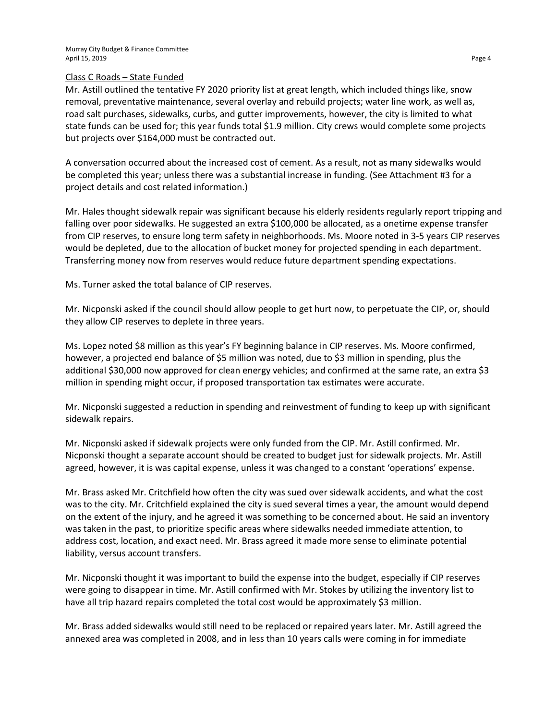#### Class C Roads – State Funded

Mr. Astill outlined the tentative FY 2020 priority list at great length, which included things like, snow removal, preventative maintenance, several overlay and rebuild projects; water line work, as well as, road salt purchases, sidewalks, curbs, and gutter improvements, however, the city is limited to what state funds can be used for; this year funds total \$1.9 million. City crews would complete some projects but projects over \$164,000 must be contracted out.

A conversation occurred about the increased cost of cement. As a result, not as many sidewalks would be completed this year; unless there was a substantial increase in funding. (See Attachment #3 for a project details and cost related information.)

Mr. Hales thought sidewalk repair was significant because his elderly residents regularly report tripping and falling over poor sidewalks. He suggested an extra \$100,000 be allocated, as a onetime expense transfer from CIP reserves, to ensure long term safety in neighborhoods. Ms. Moore noted in 3-5 years CIP reserves would be depleted, due to the allocation of bucket money for projected spending in each department. Transferring money now from reserves would reduce future department spending expectations.

Ms. Turner asked the total balance of CIP reserves.

Mr. Nicponski asked if the council should allow people to get hurt now, to perpetuate the CIP, or, should they allow CIP reserves to deplete in three years.

Ms. Lopez noted \$8 million as this year's FY beginning balance in CIP reserves. Ms. Moore confirmed, however, a projected end balance of \$5 million was noted, due to \$3 million in spending, plus the additional \$30,000 now approved for clean energy vehicles; and confirmed at the same rate, an extra \$3 million in spending might occur, if proposed transportation tax estimates were accurate.

Mr. Nicponski suggested a reduction in spending and reinvestment of funding to keep up with significant sidewalk repairs.

Mr. Nicponski asked if sidewalk projects were only funded from the CIP. Mr. Astill confirmed. Mr. Nicponski thought a separate account should be created to budget just for sidewalk projects. Mr. Astill agreed, however, it is was capital expense, unless it was changed to a constant 'operations' expense.

Mr. Brass asked Mr. Critchfield how often the city was sued over sidewalk accidents, and what the cost was to the city. Mr. Critchfield explained the city is sued several times a year, the amount would depend on the extent of the injury, and he agreed it was something to be concerned about. He said an inventory was taken in the past, to prioritize specific areas where sidewalks needed immediate attention, to address cost, location, and exact need. Mr. Brass agreed it made more sense to eliminate potential liability, versus account transfers.

Mr. Nicponski thought it was important to build the expense into the budget, especially if CIP reserves were going to disappear in time. Mr. Astill confirmed with Mr. Stokes by utilizing the inventory list to have all trip hazard repairs completed the total cost would be approximately \$3 million.

Mr. Brass added sidewalks would still need to be replaced or repaired years later. Mr. Astill agreed the annexed area was completed in 2008, and in less than 10 years calls were coming in for immediate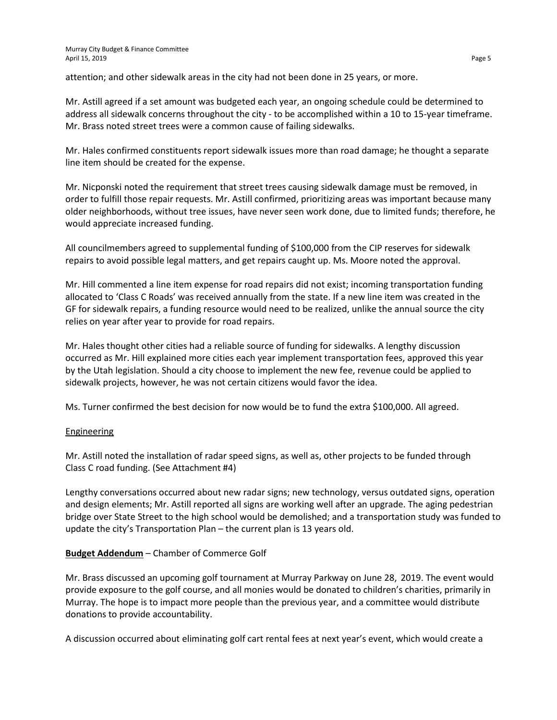attention; and other sidewalk areas in the city had not been done in 25 years, or more.

Mr. Astill agreed if a set amount was budgeted each year, an ongoing schedule could be determined to address all sidewalk concerns throughout the city - to be accomplished within a 10 to 15-year timeframe. Mr. Brass noted street trees were a common cause of failing sidewalks.

Mr. Hales confirmed constituents report sidewalk issues more than road damage; he thought a separate line item should be created for the expense.

Mr. Nicponski noted the requirement that street trees causing sidewalk damage must be removed, in order to fulfill those repair requests. Mr. Astill confirmed, prioritizing areas was important because many older neighborhoods, without tree issues, have never seen work done, due to limited funds; therefore, he would appreciate increased funding.

All councilmembers agreed to supplemental funding of \$100,000 from the CIP reserves for sidewalk repairs to avoid possible legal matters, and get repairs caught up. Ms. Moore noted the approval.

Mr. Hill commented a line item expense for road repairs did not exist; incoming transportation funding allocated to 'Class C Roads' was received annually from the state. If a new line item was created in the GF for sidewalk repairs, a funding resource would need to be realized, unlike the annual source the city relies on year after year to provide for road repairs.

Mr. Hales thought other cities had a reliable source of funding for sidewalks. A lengthy discussion occurred as Mr. Hill explained more cities each year implement transportation fees, approved this year by the Utah legislation. Should a city choose to implement the new fee, revenue could be applied to sidewalk projects, however, he was not certain citizens would favor the idea.

Ms. Turner confirmed the best decision for now would be to fund the extra \$100,000. All agreed.

## Engineering

Mr. Astill noted the installation of radar speed signs, as well as, other projects to be funded through Class C road funding. (See Attachment #4)

Lengthy conversations occurred about new radar signs; new technology, versus outdated signs, operation and design elements; Mr. Astill reported all signs are working well after an upgrade. The aging pedestrian bridge over State Street to the high school would be demolished; and a transportation study was funded to update the city's Transportation Plan – the current plan is 13 years old.

# **Budget Addendum** – Chamber of Commerce Golf

Mr. Brass discussed an upcoming golf tournament at Murray Parkway on June 28, 2019. The event would provide exposure to the golf course, and all monies would be donated to children's charities, primarily in Murray. The hope is to impact more people than the previous year, and a committee would distribute donations to provide accountability.

A discussion occurred about eliminating golf cart rental fees at next year's event, which would create a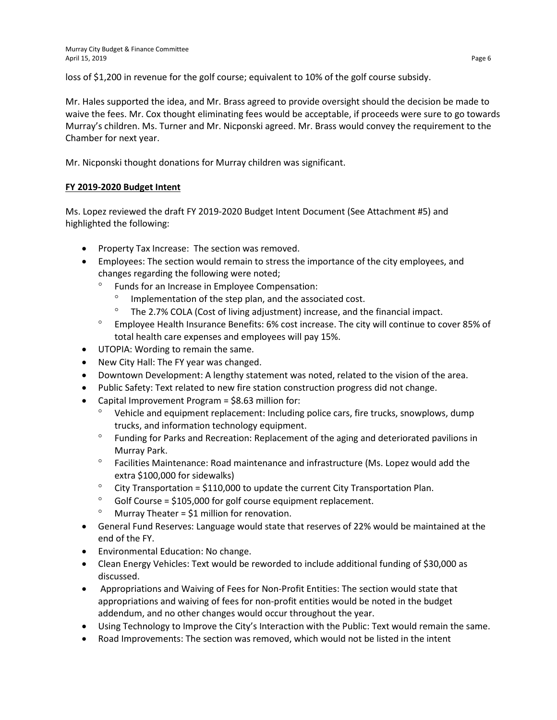loss of \$1,200 in revenue for the golf course; equivalent to 10% of the golf course subsidy.

Mr. Hales supported the idea, and Mr. Brass agreed to provide oversight should the decision be made to waive the fees. Mr. Cox thought eliminating fees would be acceptable, if proceeds were sure to go towards Murray's children. Ms. Turner and Mr. Nicponski agreed. Mr. Brass would convey the requirement to the Chamber for next year.

Mr. Nicponski thought donations for Murray children was significant.

# **FY 2019-2020 Budget Intent**

Ms. Lopez reviewed the draft FY 2019-2020 Budget Intent Document (See Attachment #5) and highlighted the following:

- Property Tax Increase: The section was removed.
- Employees: The section would remain to stress the importance of the city employees, and changes regarding the following were noted;
	- Funds for an Increase in Employee Compensation:
		- Implementation of the step plan, and the associated cost.
		- ° The 2.7% COLA (Cost of living adjustment) increase, and the financial impact.
	- ° Employee Health Insurance Benefits: 6% cost increase. The city will continue to cover 85% of total health care expenses and employees will pay 15%.
- UTOPIA: Wording to remain the same.
- New City Hall: The FY year was changed.
- Downtown Development: A lengthy statement was noted, related to the vision of the area.
- Public Safety: Text related to new fire station construction progress did not change.
- Capital Improvement Program = \$8.63 million for:
	- ° Vehicle and equipment replacement: Including police cars, fire trucks, snowplows, dump trucks, and information technology equipment.
	- ° Funding for Parks and Recreation: Replacement of the aging and deteriorated pavilions in Murray Park.
	- ° Facilities Maintenance: Road maintenance and infrastructure (Ms. Lopez would add the extra \$100,000 for sidewalks)
	- $\degree$  City Transportation = \$110,000 to update the current City Transportation Plan.
	- $\degree$  Golf Course = \$105,000 for golf course equipment replacement.
	- $^{\circ}$  Murray Theater = \$1 million for renovation.
- General Fund Reserves: Language would state that reserves of 22% would be maintained at the end of the FY.
- Environmental Education: No change.
- Clean Energy Vehicles: Text would be reworded to include additional funding of \$30,000 as discussed.
- Appropriations and Waiving of Fees for Non-Profit Entities: The section would state that appropriations and waiving of fees for non-profit entities would be noted in the budget addendum, and no other changes would occur throughout the year.
- Using Technology to Improve the City's Interaction with the Public: Text would remain the same.
- Road Improvements: The section was removed, which would not be listed in the intent